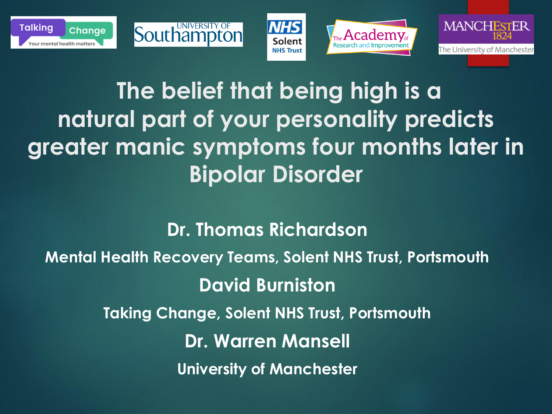





#### **The belief that being high is a natural part of your personality predicts greater manic symptoms four months later in Bipolar Disorder**

**Southampto** 

**Dr. Thomas Richardson Mental Health Recovery Teams, Solent NHS Trust, Portsmouth David Burniston Taking Change, Solent NHS Trust, Portsmouth Dr. Warren Mansell University of Manchester**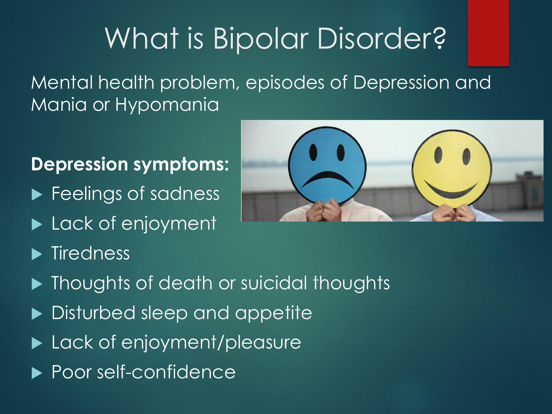# What is Bipolar Disorder?

Mental health problem, episodes of Depression and Mania or Hypomania

#### **Depression symptoms:**

- **Feelings of sadness**
- Lack of enjoyment
- $\blacktriangleright$  Tiredness



- $\blacktriangleright$  Thoughts of death or suicidal thoughts
- Disturbed sleep and appetite
- ▶ Lack of enjoyment/pleasure
- ▶ Poor self-confidence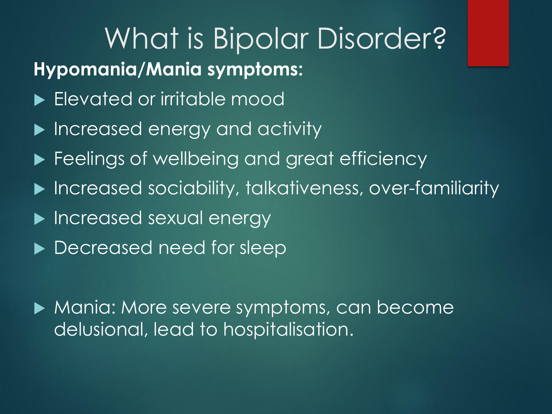#### What is Bipolar Disorder? **Hypomania/Mania symptoms:**

- **Elevated or irritable mood**
- **Increased energy and activity**
- **Feelings of wellbeing and great efficiency**
- Increased sociability, talkativeness, over-familiarity
- **Increased sexual energy**
- **Decreased need for sleep**

 Mania: More severe symptoms, can become delusional, lead to hospitalisation.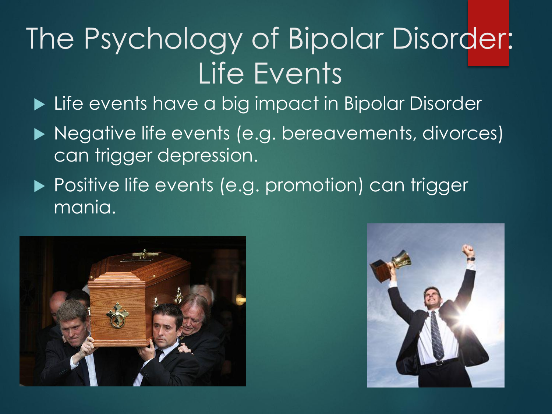# The Psychology of Bipolar Disorder: Life Events

▶ Life events have a big impact in Bipolar Disorder

- ▶ Negative life events (e.g. bereavements, divorces) can trigger depression.
- ▶ Positive life events (e.g. promotion) can trigger mania.



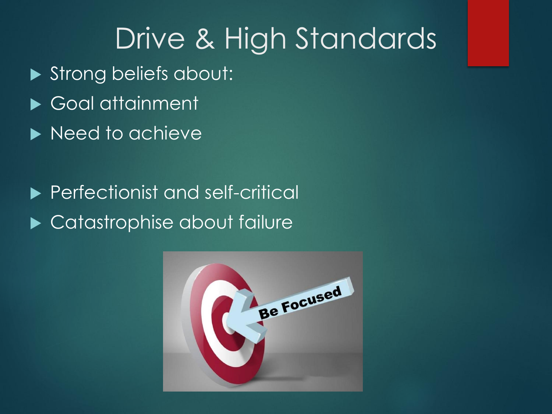## Drive & High Standards

- Strong beliefs about:
- Goal attainment
- Need to achieve
- **Perfectionist and self-critical** ▶ Catastrophise about failure

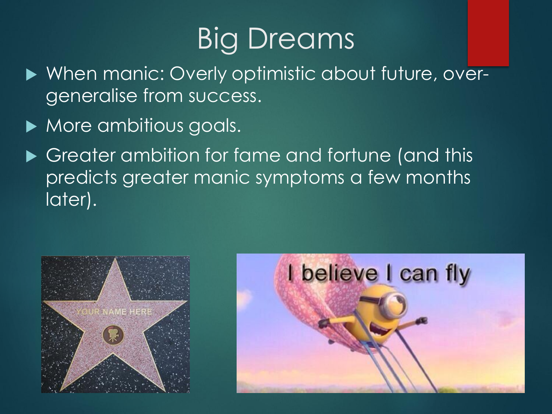# **Big Dreams**

- ▶ When manic: Overly optimistic about future, overgeneralise from success.
- More ambitious goals.
- ▶ Greater ambition for fame and fortune (and this predicts greater manic symptoms a few months later).



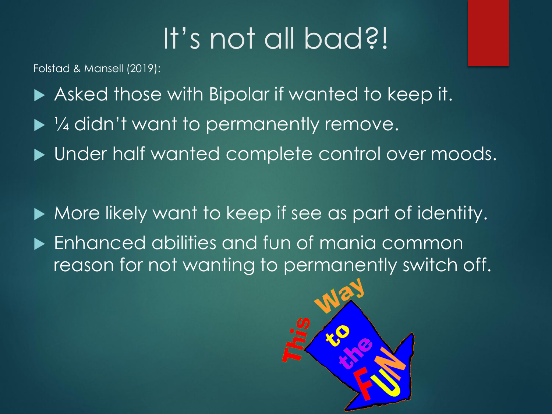# It's not all bad?!

Folstad & Mansell (2019):

- Asked those with Bipolar if wanted to keep it.
- $\blacktriangleright$  1/4 didn't want to permanently remove.
- $\blacktriangleright$  Under half wanted complete control over moods.
- $\blacktriangleright$  More likely want to keep if see as part of identity.
- Enhanced abilities and fun of mania common reason for not wanting to permanently switch off.

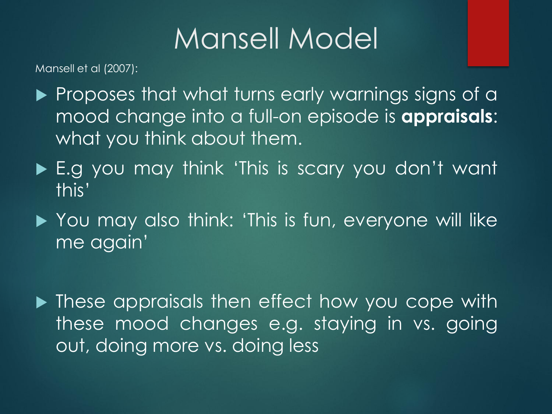# Mansell Model

Mansell et al (2007):

- Proposes that what turns early warnings signs of a mood change into a full-on episode is **appraisals**: what you think about them.
- ▶ E.g you may think 'This is scary you don't want this'
- ▶ You may also think: 'This is fun, everyone will like me again'
- **These appraisals then effect how you cope with** these mood changes e.g. staying in vs. going out, doing more vs. doing less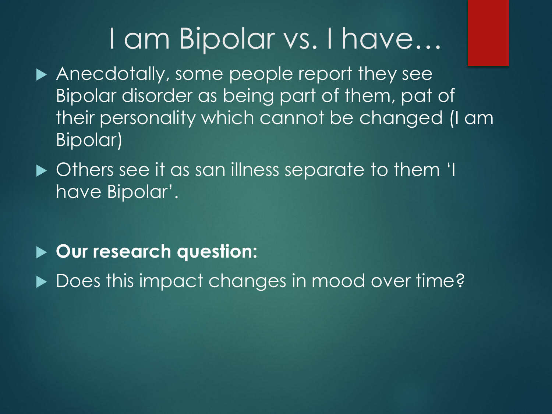### I am Bipolar vs. I have…

- Anecdotally, some people report they see Bipolar disorder as being part of them, pat of their personality which cannot be changed (I am Bipolar)
- $\blacktriangleright$  Others see it as san illness separate to them 'I have Bipolar'.
- **Our research question:**
- Does this impact changes in mood over time?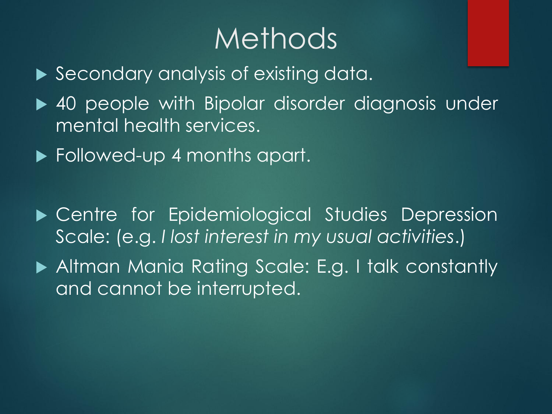## Methods

- Secondary analysis of existing data.
- ▶ 40 people with Bipolar disorder diagnosis under mental health services.
- ▶ Followed-up 4 months apart.
- Centre for Epidemiological Studies Depression Scale: (e.g. *I lost interest in my usual activities*.)
- Altman Mania Rating Scale: E.g. I talk constantly and cannot be interrupted.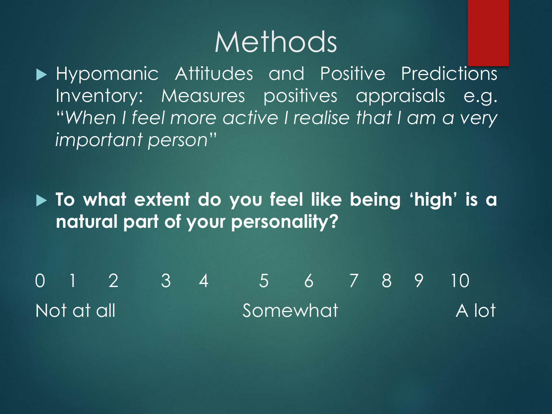#### Methods

Hypomanic Attitudes and Positive Predictions Inventory: Measures positives appraisals e.g. "*When I feel more active I realise that I am a very important person*"

 **To what extent do you feel like being 'high' is a natural part of your personality?**

0 1 2 3 4 5 6 7 8 9 10 Not at all Somewhat A lot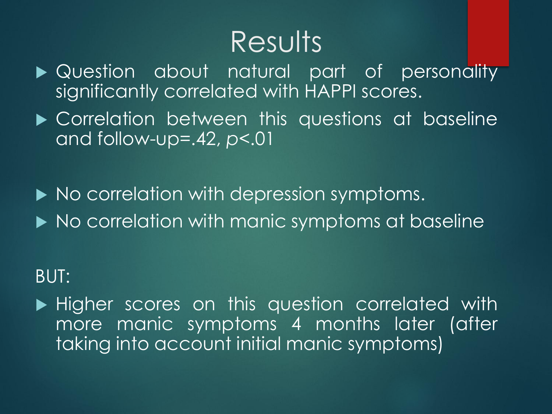### Results

- **Detagory Outers** Cuestion about natural part of personality significantly correlated with HAPPI scores.
- Correlation between this questions at baseline and follow-up=.42, *p*<.01
- $\blacktriangleright$  No correlation with depression symptoms.
- $\blacktriangleright$  No correlation with manic symptoms at baseline

#### BUT:

 $\blacktriangleright$  Higher scores on this question correlated with more manic symptoms 4 months later (after taking into account initial manic symptoms)